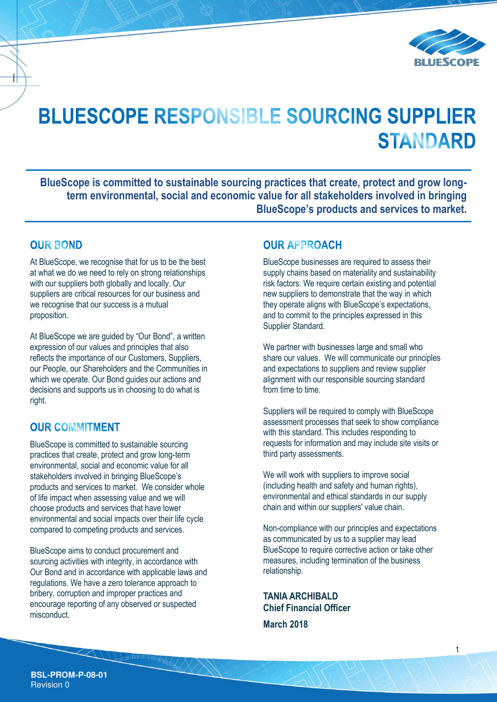

# **BLUESCOPE RESPONSIBLE SOURCING SUPPLIER STANDARD**

**BlueScope is committed to sustainable sourcing practices that create, protect and grow longterm environmental, social and economic value for all stakeholders involved in bringing BlueScope's products and services to market.** 

### **OUR BOND**

At BlueScope, we recognise that for us to be the best at what we do we need to rely on strong relationships with our suppliers both globally and locally. Our suppliers are critical resources for our business and we recognise that our success is a mutual proposition.

At BlueScope we are guided by "Our Bond", a written expression of our values and principles that also reflects the importance of our Customers, Suppliers, our People, our Shareholders and the Communities in which we operate. Our Bond guides our actions and decisions and supports us in choosing to do what is right.

## **OUR COMMITMENT**

BlueScope is committed to sustainable sourcing practices that create, protect and grow long-term environmental, social and economic value for all stakeholders involved in bringing BlueScope's products and services to market. We consider whole of life impact when assessing value and we will choose products and services that have lower environmental and social impacts over their life cycle compared to competing products and services.

BlueScope aims to conduct procurement and sourcing activities with integrity, in accordance with Our Bond and in accordance with applicable laws and regulations. We have a zero tolerance approach to bribery, corruption and improper practices and encourage reporting of any observed or suspected misconduct.

## **OUR APPROACH**

BlueScope businesses are required to assess their supply chains based on materiality and sustainability risk factors. We require certain existing and potential new suppliers to demonstrate that the way in which they operate aligns with BlueScope's expectations, and to commit to the principles expressed in this Supplier Standard.

We partner with businesses large and small who share our values. We will communicate our principles and expectations to suppliers and review supplier alignment with our responsible sourcing standard from time to time.

Suppliers will be required to comply with BlueScope assessment processes that seek to show compliance with this standard. This includes responding to requests for information and may include site visits or third party assessments.

We will work with suppliers to improve social (including health and safety and human rights), environmental and ethical standards in our supply chain and within our suppliers' value chain.

Non-compliance with our principles and expectations as communicated by us to a supplier may lead BlueScope to require corrective action or take other measures, including termination of the business relationship.

**TANIA ARCHIBALD Chief Financial Officer March 2018**

**BSL-PROM-P-08-01** Revision 0